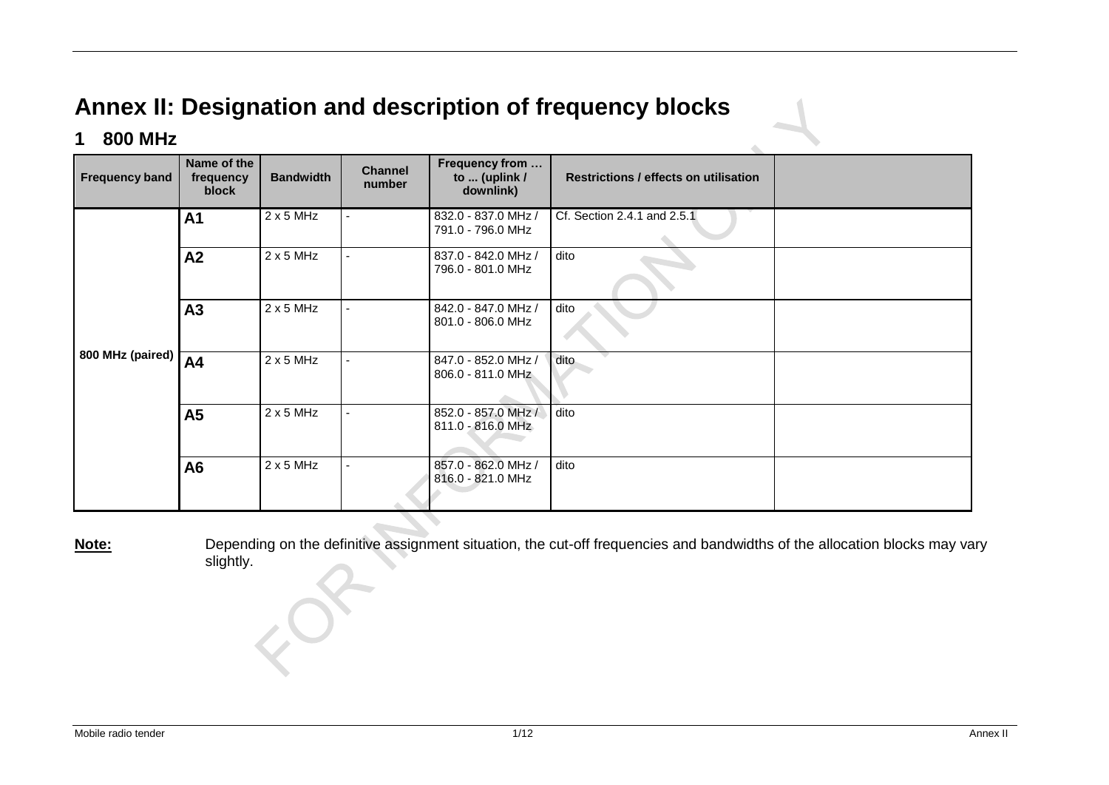# **Annex II: Designation and description of frequency blocks**

### **1 800 MHz**

| <b>Frequency band</b> | Name of the<br>frequency<br>block | <b>Bandwidth</b> | <b>Channel</b><br>number | Frequency from<br>to  (uplink /<br>downlink) | <b>Restrictions / effects on utilisation</b> |  |
|-----------------------|-----------------------------------|------------------|--------------------------|----------------------------------------------|----------------------------------------------|--|
| 800 MHz (paired)      | A <sub>1</sub>                    | $2 \times 5$ MHz |                          | 832.0 - 837.0 MHz /<br>791.0 - 796.0 MHz     | Cf. Section 2.4.1 and 2.5.1                  |  |
|                       | A2                                | $2 \times 5$ MHz |                          | 837.0 - 842.0 MHz /<br>796.0 - 801.0 MHz     | dito                                         |  |
|                       | A3                                | $2 \times 5$ MHz |                          | 842.0 - 847.0 MHz /<br>801.0 - 806.0 MHz     | dito                                         |  |
|                       | A4                                | $2 \times 5$ MHz |                          | 847.0 - 852.0 MHz /<br>806.0 - 811.0 MHz     | dito                                         |  |
|                       | A5                                | $2 \times 5$ MHz | $\blacksquare$           | 852.0 - 857.0 MHz /<br>811.0 - 816.0 MHz     | dito                                         |  |
|                       | A <sub>6</sub>                    | $2 \times 5$ MHz |                          | 857.0 - 862.0 MHz /<br>816.0 - 821.0 MHz     | dito                                         |  |

**Note:** Depending on the definitive assignment situation, the cut-off frequencies and bandwidths of the allocation blocks may vary slightly.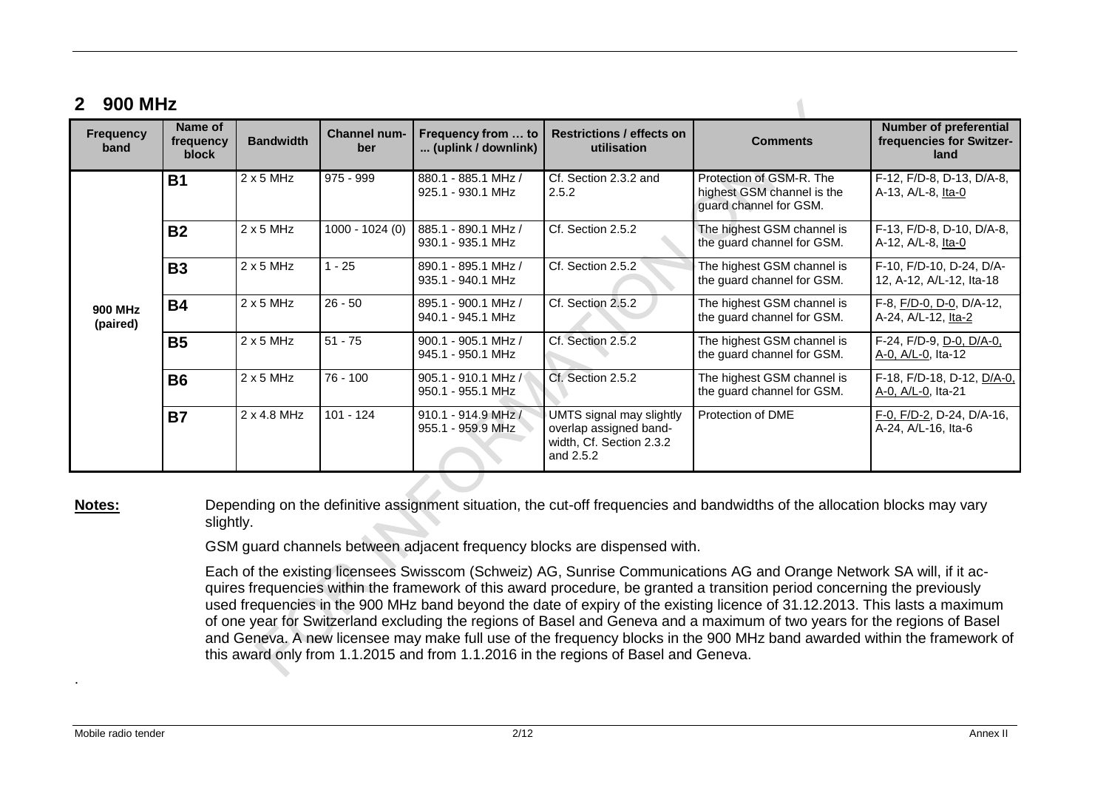# **2 900 MHz**

| <b>Frequency</b><br>band | Name of<br>frequency<br>block | <b>Bandwidth</b> | <b>Channel num-</b><br>ber | Frequency from  to<br>(uplink / downlink)  | <b>Restrictions / effects on</b><br>utilisation                                             | <b>Comments</b>                                                                  | <b>Number of preferential</b><br>frequencies for Switzer-<br>land |
|--------------------------|-------------------------------|------------------|----------------------------|--------------------------------------------|---------------------------------------------------------------------------------------------|----------------------------------------------------------------------------------|-------------------------------------------------------------------|
| 900 MHz<br>(paired)      | <b>B1</b>                     | $2 \times 5$ MHz | 975 - 999                  | 880.1 - 885.1 MHz /<br>925.1 - 930.1 MHz   | Cf. Section 2.3.2 and<br>2.5.2                                                              | Protection of GSM-R. The<br>highest GSM channel is the<br>guard channel for GSM. | F-12, F/D-8, D-13, D/A-8,<br>A-13, A/L-8, Ita-0                   |
|                          | <b>B2</b>                     | $2 \times 5$ MHz | 1000 - 1024 (0)            | 885.1 - 890.1 MHz /<br>930.1 - 935.1 MHz   | Cf. Section 2.5.2                                                                           | The highest GSM channel is<br>the guard channel for GSM.                         | F-13, F/D-8, D-10, D/A-8,<br>A-12, A/L-8, Ita-0                   |
|                          | <b>B3</b>                     | $2 \times 5$ MHz | $1 - 25$                   | 890.1 - 895.1 MHz /<br>935.1 - 940.1 MHz   | Cf. Section 2.5.2                                                                           | The highest GSM channel is<br>the guard channel for GSM.                         | F-10, F/D-10, D-24, D/A-<br>12, A-12, A/L-12, Ita-18              |
|                          | <b>B4</b>                     | $2 \times 5$ MHz | $26 - 50$                  | 895.1 - 900.1 MHz /<br>940.1 - 945.1 MHz   | Cf. Section 2.5.2                                                                           | The highest GSM channel is<br>the guard channel for GSM.                         | F-8, F/D-0, D-0, D/A-12,<br>A-24, A/L-12, Ita-2                   |
|                          | <b>B5</b>                     | $2 \times 5$ MHz | $51 - 75$                  | 900.1 - 905.1 MHz /<br>945.1 - 950.1 MHz   | Cf. Section 2.5.2                                                                           | The highest GSM channel is<br>the guard channel for GSM.                         | F-24, F/D-9, D-0, D/A-0,<br>A-0, A/L-0, Ita-12                    |
|                          | <b>B6</b>                     | $2 \times 5$ MHz | 76 - 100                   | 905.1 - 910.1 MHz /<br>950.1 - 955.1 MHz   | Cf. Section 2.5.2                                                                           | The highest GSM channel is<br>the guard channel for GSM.                         | F-18, F/D-18, D-12, D/A-0,<br>A-0, A/L-0, Ita-21                  |
|                          | <b>B7</b>                     | 2 x 4.8 MHz      | $101 - 124$                | $910.1 - 914.9$ MHz /<br>955.1 - 959.9 MHz | UMTS signal may slightly<br>overlap assigned band-<br>width, Cf. Section 2.3.2<br>and 2.5.2 | Protection of DME                                                                | F-0, F/D-2, D-24, D/A-16,<br>A-24, A/L-16, Ita-6                  |

**Notes:** Depending on the definitive assignment situation, the cut-off frequencies and bandwidths of the allocation blocks may vary slightly.

GSM guard channels between adjacent frequency blocks are dispensed with.

Each of the existing licensees Swisscom (Schweiz) AG, Sunrise Communications AG and Orange Network SA will, if it acquires frequencies within the framework of this award procedure, be granted a transition period concerning the previously used frequencies in the 900 MHz band beyond the date of expiry of the existing licence of 31.12.2013. This lasts a maximum of one year for Switzerland excluding the regions of Basel and Geneva and a maximum of two years for the regions of Basel and Geneva. A new licensee may make full use of the frequency blocks in the 900 MHz band awarded within the framework of this award only from 1.1.2015 and from 1.1.2016 in the regions of Basel and Geneva.

.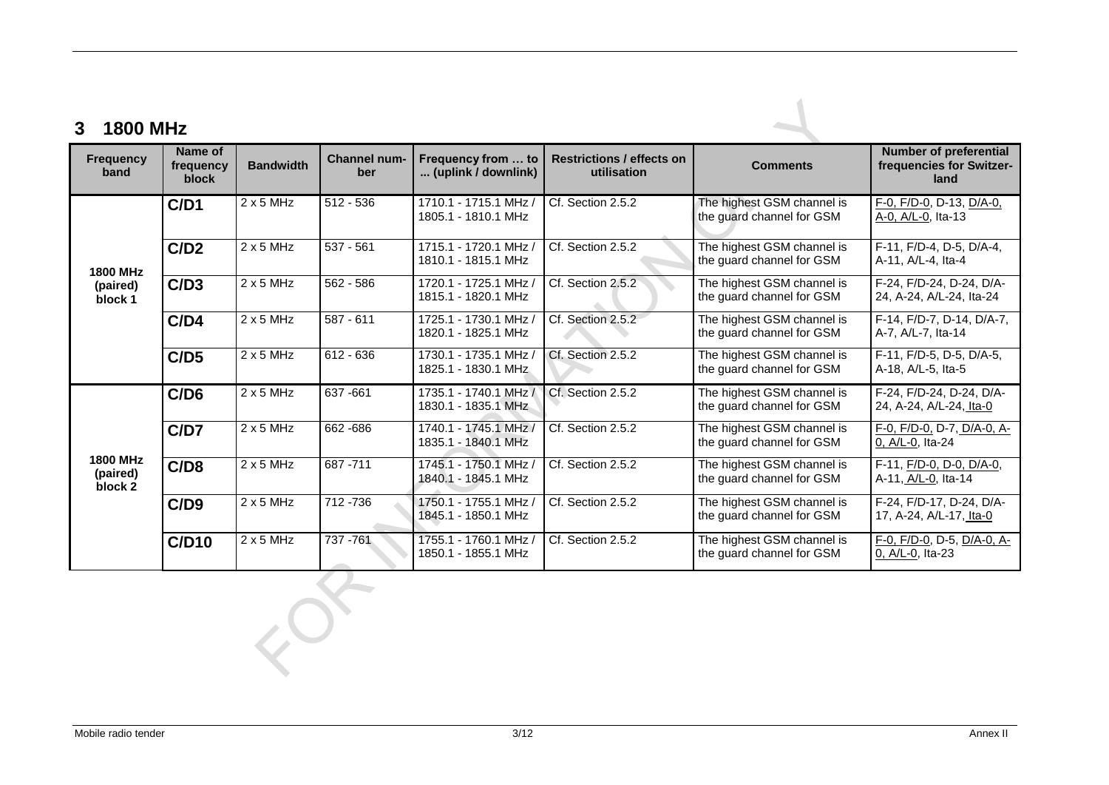| <b>Frequency</b><br>band               | Name of<br>frequency<br>block | <b>Bandwidth</b> | Channel num-<br>ber | Frequency from  to<br>(uplink / downlink)    | <b>Restrictions / effects on</b><br>utilisation | <b>Comments</b>                                         | <b>Number of preferential</b><br>frequencies for Switzer-<br>land |
|----------------------------------------|-------------------------------|------------------|---------------------|----------------------------------------------|-------------------------------------------------|---------------------------------------------------------|-------------------------------------------------------------------|
|                                        | C/D1                          | $2 \times 5$ MHz | $512 - 536$         | 1710.1 - 1715.1 MHz /<br>1805.1 - 1810.1 MHz | Cf. Section 2.5.2                               | The highest GSM channel is<br>the guard channel for GSM | F-0, F/D-0, D-13, D/A-0,<br>A-0, A/L-0, Ita-13                    |
| <b>1800 MHz</b>                        | C/D2                          | $2 \times 5$ MHz | $537 - 561$         | 1715.1 - 1720.1 MHz /<br>1810.1 - 1815.1 MHz | Cf. Section 2.5.2                               | The highest GSM channel is<br>the guard channel for GSM | F-11, F/D-4, D-5, D/A-4,<br>A-11, A/L-4, Ita-4                    |
| (paired)<br>block 1                    | C/D3                          | $2 \times 5$ MHz | $562 - 586$         | 1720.1 - 1725.1 MHz /<br>1815.1 - 1820.1 MHz | Cf. Section 2.5.2                               | The highest GSM channel is<br>the guard channel for GSM | F-24, F/D-24, D-24, D/A-<br>24, A-24, A/L-24, Ita-24              |
|                                        | C/D4                          | $2 \times 5$ MHz | $587 - 611$         | 1725.1 - 1730.1 MHz<br>1820.1 - 1825.1 MHz   | Cf. Section 2.5.2                               | The highest GSM channel is<br>the guard channel for GSM | F-14, F/D-7, D-14, D/A-7,<br>A-7, A/L-7, Ita-14                   |
|                                        | C/D5                          | $2 \times 5$ MHz | $612 - 636$         | 1730.1 - 1735.1 MHz<br>1825.1 - 1830.1 MHz   | Cf. Section 2.5.2                               | The highest GSM channel is<br>the guard channel for GSM | F-11, F/D-5, D-5, D/A-5,<br>A-18, A/L-5, Ita-5                    |
|                                        | C/D6                          | $2 \times 5$ MHz | 637-661             | 1735.1 - 1740.1 MHz /<br>1830.1 - 1835.1 MHz | Cf. Section 2.5.2                               | The highest GSM channel is<br>the guard channel for GSM | F-24, F/D-24, D-24, D/A-<br>24, A-24, A/L-24, Ita-0               |
|                                        | C/D7                          | $2x5$ MHz        | 662-686             | 1740.1 - 1745.1 MHz /<br>1835.1 - 1840.1 MHz | Cf. Section 2.5.2                               | The highest GSM channel is<br>the guard channel for GSM | F-0, F/D-0, D-7, D/A-0, A-<br>0, A/L-0, Ita-24                    |
| <b>1800 MHz</b><br>(paired)<br>block 2 | C/D8                          | $2x5$ MHz        | 687 - 711           | 1745.1 - 1750.1 MHz<br>1840.1 - 1845.1 MHz   | Cf. Section 2.5.2                               | The highest GSM channel is<br>the guard channel for GSM | F-11, F/D-0, D-0, D/A-0,<br>A-11, A/L-0, Ita-14                   |
|                                        | C/D9                          | $2 \times 5$ MHz | 712 - 736           | 1750.1 - 1755.1 MHz /<br>1845.1 - 1850.1 MHz | Cf. Section 2.5.2                               | The highest GSM channel is<br>the guard channel for GSM | F-24, F/D-17, D-24, D/A-<br>17, A-24, A/L-17, Ita-0               |
|                                        | C/D10                         | $2 \times 5$ MHz | 737 - 761           | 1755.1 - 1760.1 MHz<br>1850.1 - 1855.1 MHz   | Cf. Section 2.5.2                               | The highest GSM channel is<br>the guard channel for GSM | $F-0$ , $F/D-0$ , D-5, $D/A-0$ , A-<br>0, A/L-0, Ita-23           |

ECT.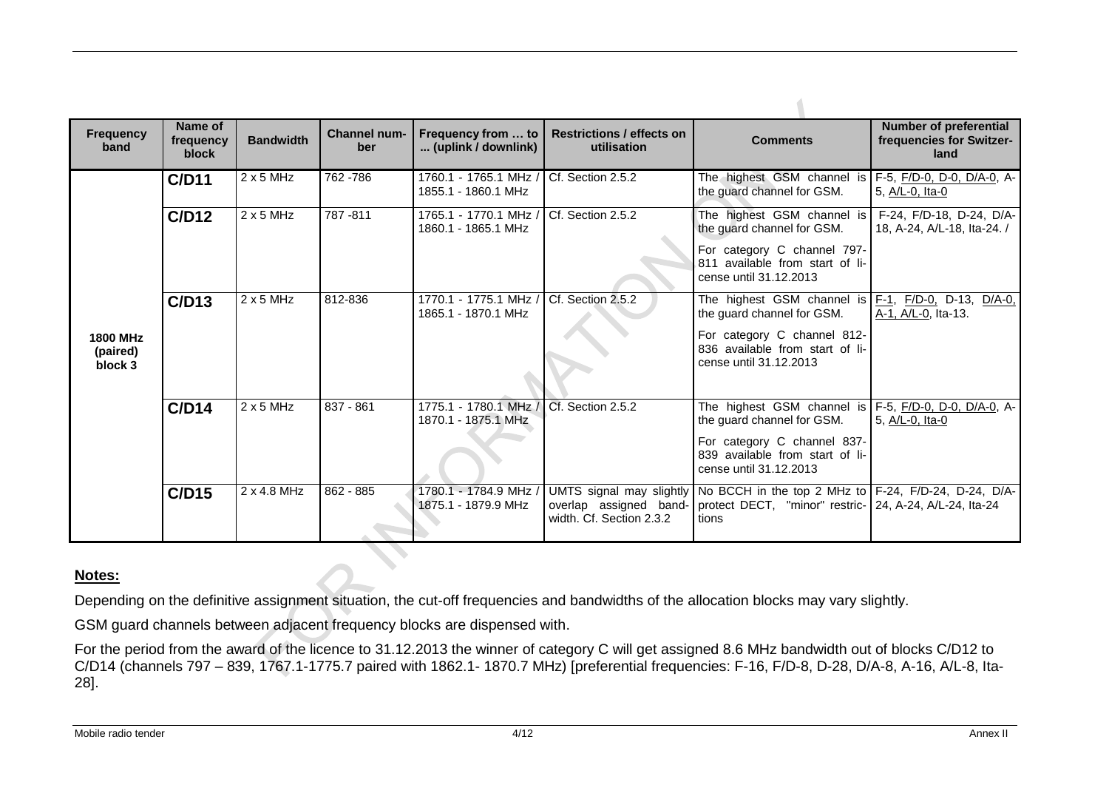| <b>Frequency</b><br>band               | Name of<br>frequency<br>block | <b>Bandwidth</b> | <b>Channel num-</b><br>ber | Frequency from  to<br>(uplink / downlink)    | <b>Restrictions / effects on</b><br>utilisation                                | <b>Comments</b>                                                                                                            | <b>Number of preferential</b><br>frequencies for Switzer-<br>land |
|----------------------------------------|-------------------------------|------------------|----------------------------|----------------------------------------------|--------------------------------------------------------------------------------|----------------------------------------------------------------------------------------------------------------------------|-------------------------------------------------------------------|
|                                        | C/D11                         | $2 \times 5$ MHz | 762 - 786                  | 1760.1 - 1765.1 MHz /<br>1855.1 - 1860.1 MHz | Cf. Section 2.5.2                                                              | The highest GSM channel is F-5, F/D-0, D-0, D/A-0, A-<br>the guard channel for GSM.                                        | 5, A/L-0, Ita-0                                                   |
|                                        | C/D12                         | $2 \times 5$ MHz | 787-811                    | 1765.1 - 1770.1 MHz /<br>1860.1 - 1865.1 MHz | Cf. Section 2.5.2                                                              | The highest GSM channel is<br>the guard channel for GSM.<br>For category C channel 797-                                    | F-24, F/D-18, D-24, D/A-<br>18, A-24, A/L-18, Ita-24. /           |
|                                        |                               |                  |                            |                                              |                                                                                | 811 available from start of li-<br>cense until 31.12.2013                                                                  |                                                                   |
|                                        | C/D13                         | $2 \times 5$ MHz | 812-836                    | 1770.1 - 1775.1 MHz /<br>1865.1 - 1870.1 MHz | Cf. Section 2.5.2                                                              | The highest GSM channel is $F-1$ , $F/D-0$ , D-13, $D/A-0$ ,<br>the guard channel for GSM.                                 | A-1, A/L-0, Ita-13.                                               |
| <b>1800 MHz</b><br>(paired)<br>block 3 |                               |                  |                            |                                              |                                                                                | For category C channel 812-<br>836 available from start of li-<br>cense until 31.12.2013                                   |                                                                   |
|                                        | C/D14                         | $2 \times 5$ MHz | 837 - 861                  | 1775.1 - 1780.1 MHz /<br>1870.1 - 1875.1 MHz | Cf. Section 2.5.2                                                              | The highest GSM channel is F-5, F/D-0, D-0, D/A-0, A-<br>the guard channel for GSM.                                        | 5, A/L-0, Ita-0                                                   |
|                                        |                               |                  |                            |                                              |                                                                                | For category C channel 837-<br>839 available from start of li-<br>cense until 31.12.2013                                   |                                                                   |
|                                        | C/D15                         | 2 x 4.8 MHz      | $862 - 885$                | 1780.1 - 1784.9 MHz /<br>1875.1 - 1879.9 MHz | UMTS signal may slightly<br>overlap assigned band-<br>width, Cf. Section 2.3.2 | No BCCH in the top 2 MHz to F-24, F/D-24, D-24, D/A-<br>protect DECT, "minor" restric-   24, A-24, A/L-24, Ita-24<br>tions |                                                                   |

### **Notes:**

Depending on the definitive assignment situation, the cut-off frequencies and bandwidths of the allocation blocks may vary slightly.

GSM guard channels between adjacent frequency blocks are dispensed with.

For the period from the award of the licence to 31.12.2013 the winner of category C will get assigned 8.6 MHz bandwidth out of blocks C/D12 to C/D14 (channels 797 – 839, 1767.1-1775.7 paired with 1862.1- 1870.7 MHz) [preferential frequencies: F-16, F/D-8, D-28, D/A-8, A-16, A/L-8, Ita-28].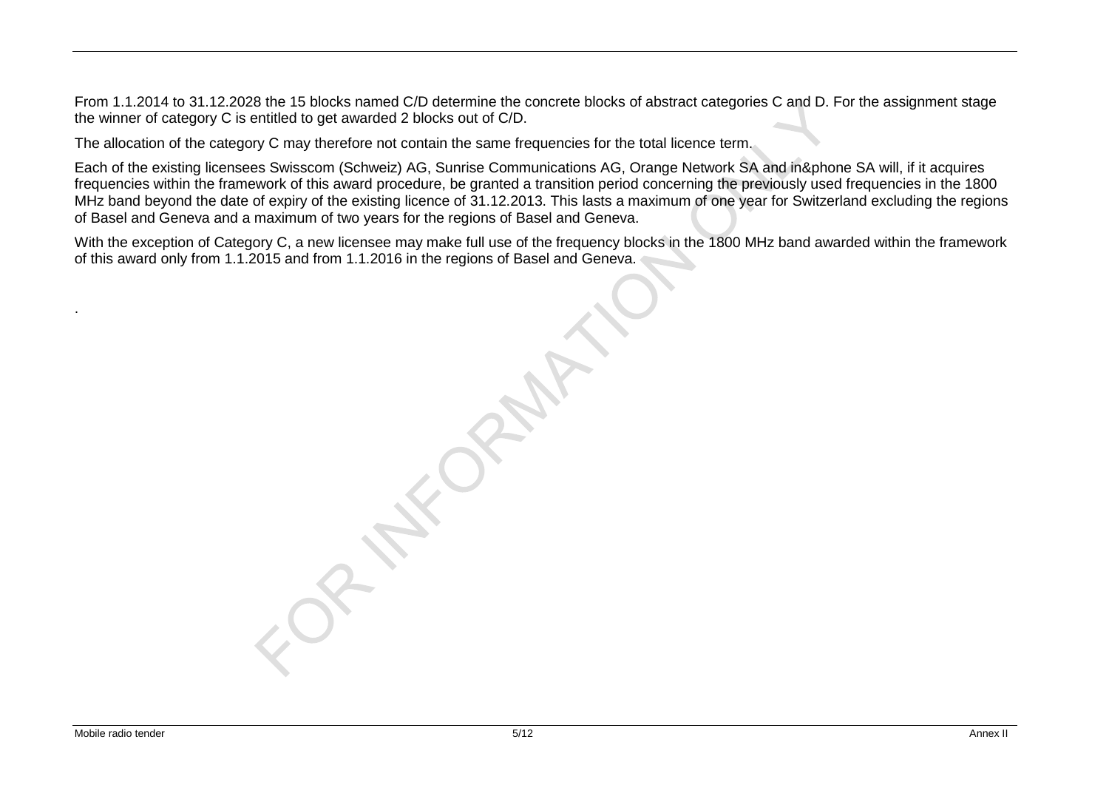From 1.1.2014 to 31.12.2028 the 15 blocks named C/D determine the concrete blocks of abstract categories C and D. For the assignment stage the winner of category C is entitled to get awarded 2 blocks out of C/D.

The allocation of the category C may therefore not contain the same frequencies for the total licence term.

Each of the existing licensees Swisscom (Schweiz) AG, Sunrise Communications AG, Orange Network SA and in&phone SA will, if it acquires frequencies within the framework of this award procedure, be granted a transition period concerning the previously used frequencies in the 1800 MHz band beyond the date of expiry of the existing licence of 31.12.2013. This lasts a maximum of one year for Switzerland excluding the regions of Basel and Geneva and a maximum of two years for the regions of Basel and Geneva.

With the exception of Category C, a new licensee may make full use of the frequency blocks in the 1800 MHz band awarded within the framework of this award only from 1.1.2015 and from 1.1.2016 in the regions of Basel and Geneva.

Mobile radio tender **5/12 Annex II** Annex II Annex II Annex II Annex II Annex II Annex II Annex II Annex II Annex II

.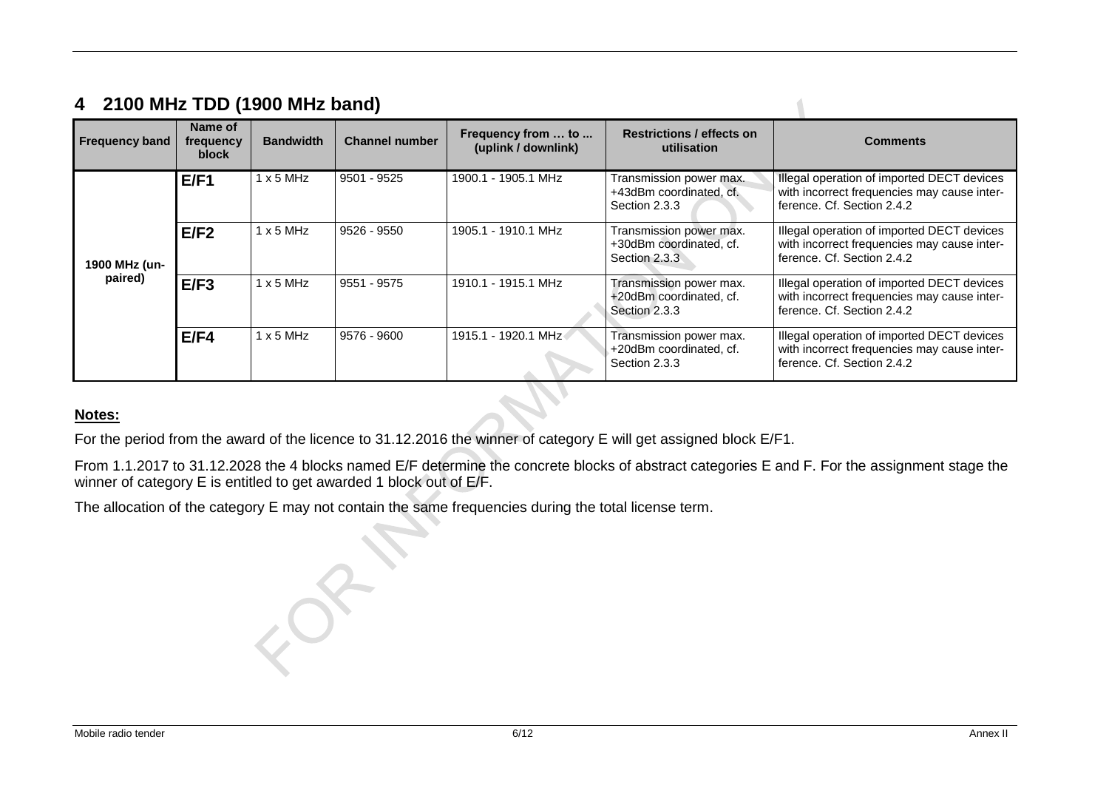## **4 2100 MHz TDD (1900 MHz band)**

| <b>Frequency band</b>    | Name of<br>frequency<br>block | <b>Bandwidth</b> | <b>Channel number</b> | Frequency from  to<br>(uplink / downlink) | <b>Restrictions / effects on</b><br>utilisation                     | <b>Comments</b>                                                                                                         |
|--------------------------|-------------------------------|------------------|-----------------------|-------------------------------------------|---------------------------------------------------------------------|-------------------------------------------------------------------------------------------------------------------------|
| 1900 MHz (un-<br>paired) | E/F1                          | $1 \times 5$ MHz | 9501 - 9525           | 1900.1 - 1905.1 MHz                       | Transmission power max.<br>+43dBm coordinated, cf.<br>Section 2.3.3 | Illegal operation of imported DECT devices<br>with incorrect frequencies may cause inter-<br>ference. Cf. Section 2.4.2 |
|                          | E/F2                          | $1 \times 5$ MHz | 9526 - 9550           | 1905.1 - 1910.1 MHz                       | Transmission power max.<br>+30dBm coordinated, cf.<br>Section 2.3.3 | Illegal operation of imported DECT devices<br>with incorrect frequencies may cause inter-<br>ference. Cf. Section 2.4.2 |
|                          | E/F3                          | $1 \times 5$ MHz | 9551 - 9575           | 1910.1 - 1915.1 MHz                       | Transmission power max.<br>+20dBm coordinated, cf.<br>Section 2.3.3 | Illegal operation of imported DECT devices<br>with incorrect frequencies may cause inter-<br>ference, Cf. Section 2.4.2 |
|                          | E/F4                          | $1 \times 5$ MHz | 9576 - 9600           | 1915.1 - 1920.1 MHz                       | Transmission power max.<br>+20dBm coordinated, cf.<br>Section 2.3.3 | Illegal operation of imported DECT devices<br>with incorrect frequencies may cause inter-<br>ference. Cf. Section 2.4.2 |

### **Notes:**

For the period from the award of the licence to 31.12.2016 the winner of category E will get assigned block E/F1.

From 1.1.2017 to 31.12.2028 the 4 blocks named E/F determine the concrete blocks of abstract categories E and F. For the assignment stage the winner of category E is entitled to get awarded 1 block out of E/F.

The allocation of the category E may not contain the same frequencies during the total license term.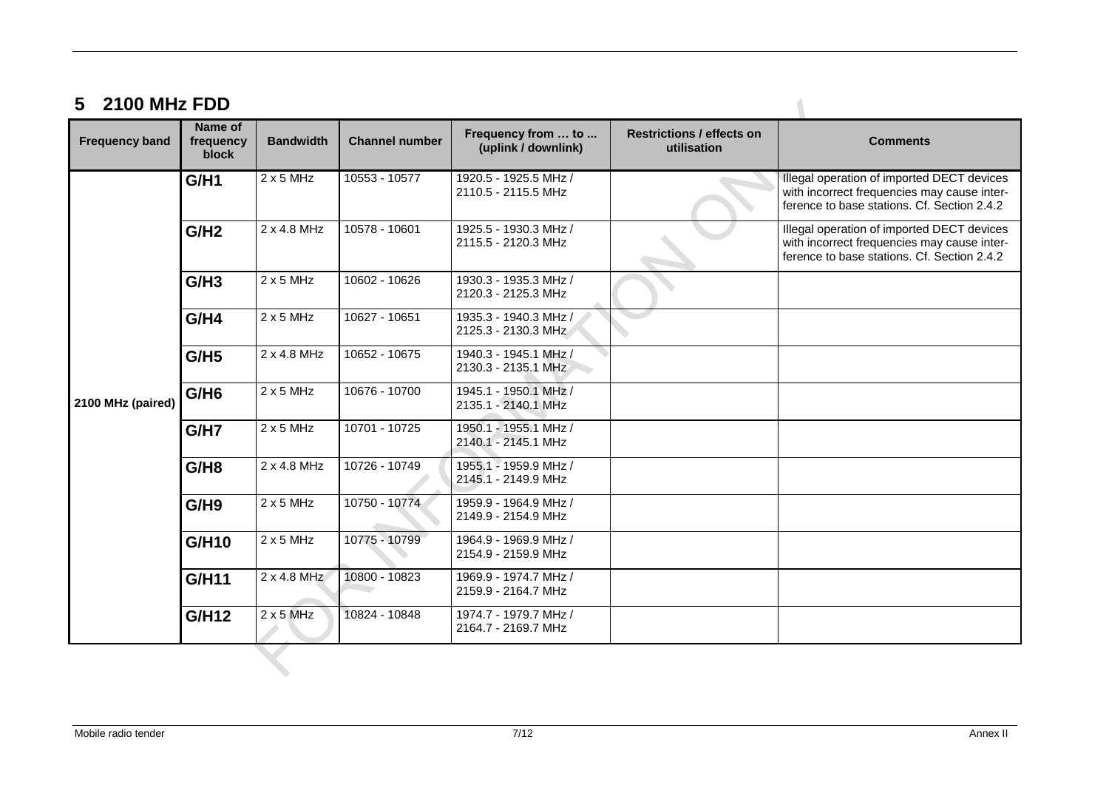# **5 2100 MHz FDD**

| <b>Frequency band</b> | <b>Name of</b><br>frequency<br>block | <b>Bandwidth</b> | <b>Channel number</b> | Frequency from  to<br>(uplink / downlink)    | <b>Restrictions / effects on</b><br>utilisation | <b>Comments</b>                                                                                                                          |
|-----------------------|--------------------------------------|------------------|-----------------------|----------------------------------------------|-------------------------------------------------|------------------------------------------------------------------------------------------------------------------------------------------|
|                       | G/H1                                 | $2 \times 5$ MHz | 10553 - 10577         | 1920.5 - 1925.5 MHz /<br>2110.5 - 2115.5 MHz |                                                 | Illegal operation of imported DECT devices<br>with incorrect frequencies may cause inter-<br>ference to base stations. Cf. Section 2.4.2 |
|                       | G/H2                                 | 2 x 4.8 MHz      | 10578 - 10601         | 1925.5 - 1930.3 MHz /<br>2115.5 - 2120.3 MHz |                                                 | Illegal operation of imported DECT devices<br>with incorrect frequencies may cause inter-<br>ference to base stations. Cf. Section 2.4.2 |
|                       | G/H3                                 | $2 \times 5$ MHz | 10602 - 10626         | 1930.3 - 1935.3 MHz /<br>2120.3 - 2125.3 MHz |                                                 |                                                                                                                                          |
|                       | G/H4                                 | $2 \times 5$ MHz | 10627 - 10651         | 1935.3 - 1940.3 MHz /<br>2125.3 - 2130.3 MHz |                                                 |                                                                                                                                          |
|                       | G/H5                                 | 2 x 4.8 MHz      | 10652 - 10675         | 1940.3 - 1945.1 MHz /<br>2130.3 - 2135.1 MHz |                                                 |                                                                                                                                          |
| 2100 MHz (paired)     | G/H6                                 | $2 \times 5$ MHz | 10676 - 10700         | 1945.1 - 1950.1 MHz /<br>2135.1 - 2140.1 MHz |                                                 |                                                                                                                                          |
|                       | G/H7                                 | $2 \times 5$ MHz | 10701 - 10725         | 1950.1 - 1955.1 MHz /<br>2140.1 - 2145.1 MHz |                                                 |                                                                                                                                          |
|                       | G/H8                                 | 2 x 4.8 MHz      | 10726 - 10749         | 1955.1 - 1959.9 MHz /<br>2145.1 - 2149.9 MHz |                                                 |                                                                                                                                          |
|                       | G/H9                                 | $2 \times 5$ MHz | 10750 - 10774         | 1959.9 - 1964.9 MHz /<br>2149.9 - 2154.9 MHz |                                                 |                                                                                                                                          |
|                       | G/H10                                | $2 \times 5$ MHz | 10775 - 10799         | 1964.9 - 1969.9 MHz /<br>2154.9 - 2159.9 MHz |                                                 |                                                                                                                                          |
|                       | <b>G/H11</b>                         | 2 x 4.8 MHz      | 10800 - 10823         | 1969.9 - 1974.7 MHz /<br>2159.9 - 2164.7 MHz |                                                 |                                                                                                                                          |
|                       | G/H12                                | $2 \times 5$ MHz | 10824 - 10848         | 1974.7 - 1979.7 MHz /<br>2164.7 - 2169.7 MHz |                                                 |                                                                                                                                          |

 $\sqrt{2}$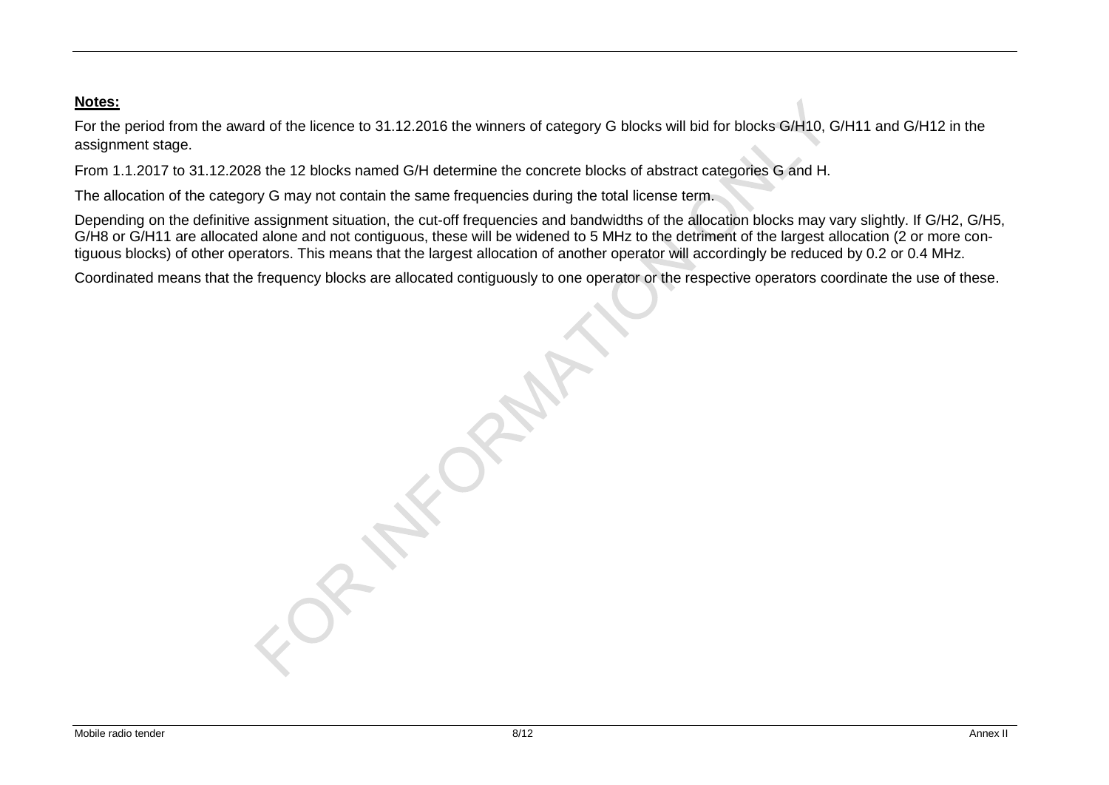#### **Notes:**

For the period from the award of the licence to 31.12.2016 the winners of category G blocks will bid for blocks G/H10, G/H11 and G/H12 in the assignment stage.

From 1.1.2017 to 31.12.2028 the 12 blocks named G/H determine the concrete blocks of abstract categories G and H.

The allocation of the category G may not contain the same frequencies during the total license term.

Depending on the definitive assignment situation, the cut-off frequencies and bandwidths of the allocation blocks may vary slightly. If G/H2, G/H5, G/H8 or G/H11 are allocated alone and not contiguous, these will be widened to 5 MHz to the detriment of the largest allocation (2 or more contiguous blocks) of other operators. This means that the largest allocation of another operator will accordingly be reduced by 0.2 or 0.4 MHz.

Coordinated means that the frequency blocks are allocated contiguously to one operator or the respective operators coordinate the use of these.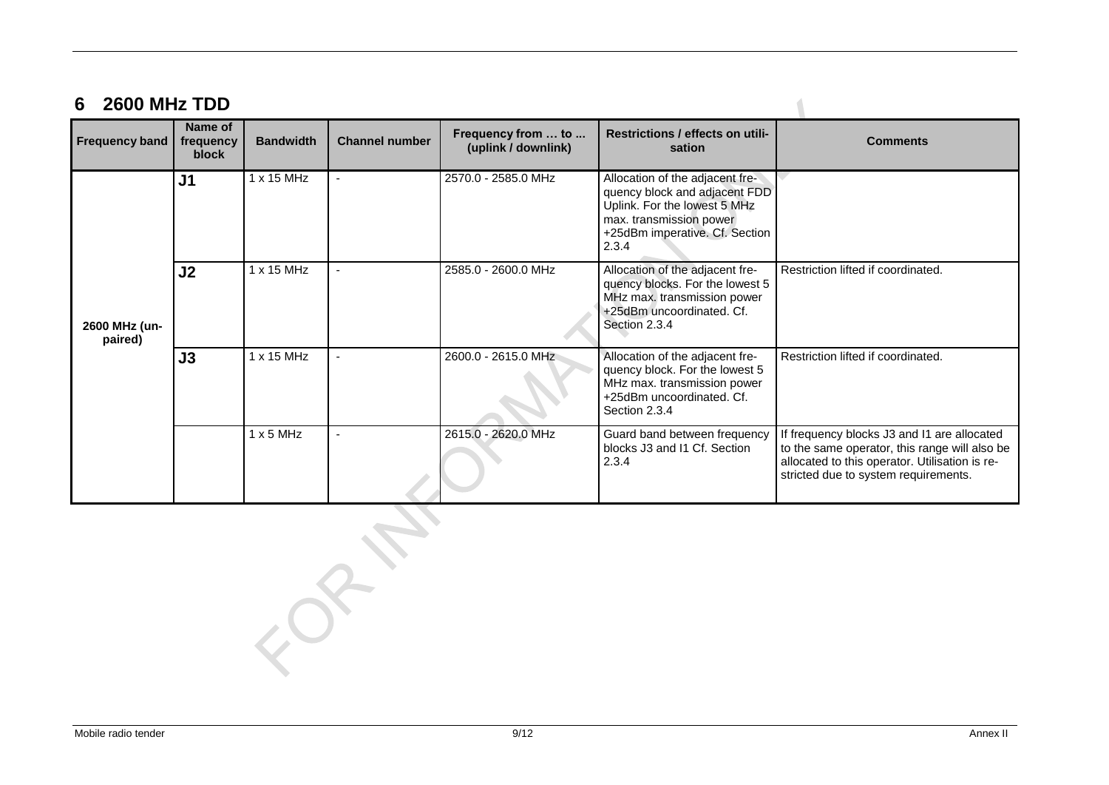# **6 2600 MHz TDD**

| <b>Frequency band</b>    | Name of<br>frequency<br>block | <b>Bandwidth</b> | <b>Channel number</b> | Frequency from  to<br>(uplink / downlink) | Restrictions / effects on utili-<br>sation                                                                                                                             | <b>Comments</b>                                                                                                                                                                        |
|--------------------------|-------------------------------|------------------|-----------------------|-------------------------------------------|------------------------------------------------------------------------------------------------------------------------------------------------------------------------|----------------------------------------------------------------------------------------------------------------------------------------------------------------------------------------|
| 2600 MHz (un-<br>paired) | J <sub>1</sub>                | 1 x 15 MHz       |                       | 2570.0 - 2585.0 MHz                       | Allocation of the adjacent fre-<br>quency block and adjacent FDD<br>Uplink. For the lowest 5 MHz<br>max. transmission power<br>+25dBm imperative. Cf. Section<br>2.3.4 |                                                                                                                                                                                        |
|                          | J <sub>2</sub>                | 1 x 15 MHz       |                       | 2585.0 - 2600.0 MHz                       | Allocation of the adjacent fre-<br>quency blocks. For the lowest 5<br>MHz max. transmission power<br>+25dBm uncoordinated. Cf.<br>Section 2.3.4                        | Restriction lifted if coordinated.                                                                                                                                                     |
|                          | J3                            | 1 x 15 MHz       |                       | 2600.0 - 2615.0 MHz                       | Allocation of the adjacent fre-<br>quency block. For the lowest 5<br>MHz max. transmission power<br>+25dBm uncoordinated. Cf.<br>Section 2.3.4                         | Restriction lifted if coordinated.                                                                                                                                                     |
|                          |                               | $1 \times 5$ MHz |                       | 2615.0 - 2620.0 MHz                       | Guard band between frequency<br>blocks J3 and I1 Cf. Section<br>2.3.4                                                                                                  | If frequency blocks J3 and I1 are allocated<br>to the same operator, this range will also be<br>allocated to this operator. Utilisation is re-<br>stricted due to system requirements. |

 $\blacksquare$ 

 $\overline{Q}$ 

 $\mathcal{L}_{\mathcal{O}}$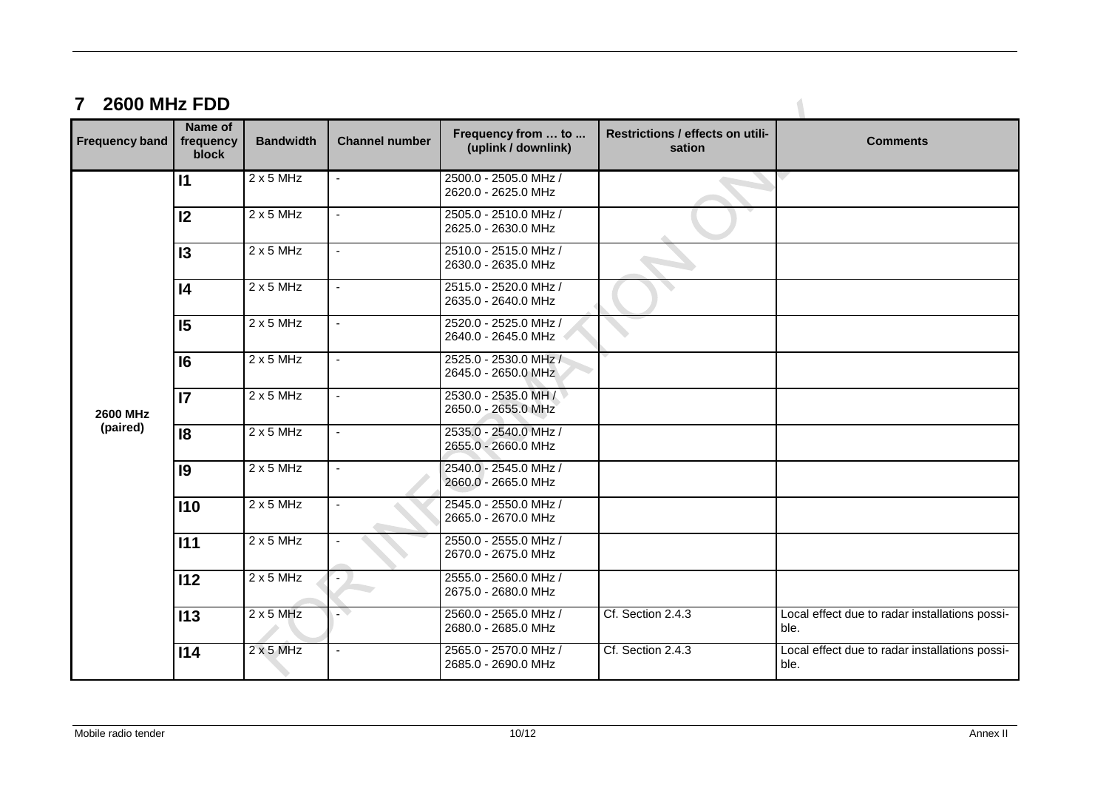## **7 2600 MHz FDD**

| <b>Frequency band</b> | Name of<br>frequency<br>block | <b>Bandwidth</b> | <b>Channel number</b>    | Frequency from  to<br>(uplink / downlink)    | Restrictions / effects on utili-<br>sation | <b>Comments</b>                                        |
|-----------------------|-------------------------------|------------------|--------------------------|----------------------------------------------|--------------------------------------------|--------------------------------------------------------|
|                       | $\mathsf{I}$                  | $2 \times 5$ MHz | $\blacksquare$           | 2500.0 - 2505.0 MHz /<br>2620.0 - 2625.0 MHz |                                            |                                                        |
|                       | 12                            | $2 \times 5$ MHz |                          | 2505.0 - 2510.0 MHz /<br>2625.0 - 2630.0 MHz |                                            |                                                        |
|                       | 13                            | $2 \times 5$ MHz |                          | 2510.0 - 2515.0 MHz /<br>2630.0 - 2635.0 MHz |                                            |                                                        |
|                       | $\overline{14}$               | 2x5MHz           | $\mathbf{r}$             | 2515.0 - 2520.0 MHz /<br>2635.0 - 2640.0 MHz |                                            |                                                        |
|                       | 15                            | $2 \times 5$ MHz | $\mathbf{r}$             | 2520.0 - 2525.0 MHz /<br>2640.0 - 2645.0 MHz |                                            |                                                        |
|                       | 6                             | $2 \times 5$ MHz | $\blacksquare$           | 2525.0 - 2530.0 MHz /<br>2645.0 - 2650.0 MHz |                                            |                                                        |
| <b>2600 MHz</b>       | $\overline{17}$               | $2 \times 5$ MHz | $\blacksquare$           | 2530.0 - 2535.0 MH /<br>2650.0 - 2655.0 MHz  |                                            |                                                        |
| (paired)              | $\overline{18}$               | $2 \times 5$ MHz |                          | 2535.0 - 2540.0 MHz /<br>2655.0 - 2660.0 MHz |                                            |                                                        |
|                       | 9                             | 2x5MHz           | $\mathbf{r}$             | 2540.0 - 2545.0 MHz /<br>2660.0 - 2665.0 MHz |                                            |                                                        |
|                       | 110                           | $2 \times 5$ MHz |                          | 2545.0 - 2550.0 MHz /<br>2665.0 - 2670.0 MHz |                                            |                                                        |
|                       | 111                           | $2 \times 5$ MHz |                          | 2550.0 - 2555.0 MHz /<br>2670.0 - 2675.0 MHz |                                            |                                                        |
|                       | 112                           | $2 \times 5$ MHz | $\blacksquare$           | 2555.0 - 2560.0 MHz /<br>2675.0 - 2680.0 MHz |                                            |                                                        |
|                       | 113                           | $2 \times 5$ MHz |                          | 2560.0 - 2565.0 MHz /<br>2680.0 - 2685.0 MHz | Cf. Section 2.4.3                          | Local effect due to radar installations possi-<br>ble. |
|                       | 114                           | $2 \times 5$ MHz | $\overline{\phantom{a}}$ | 2565.0 - 2570.0 MHz /<br>2685.0 - 2690.0 MHz | Cf. Section 2.4.3                          | Local effect due to radar installations possi-<br>ble. |

 $\sqrt{2}$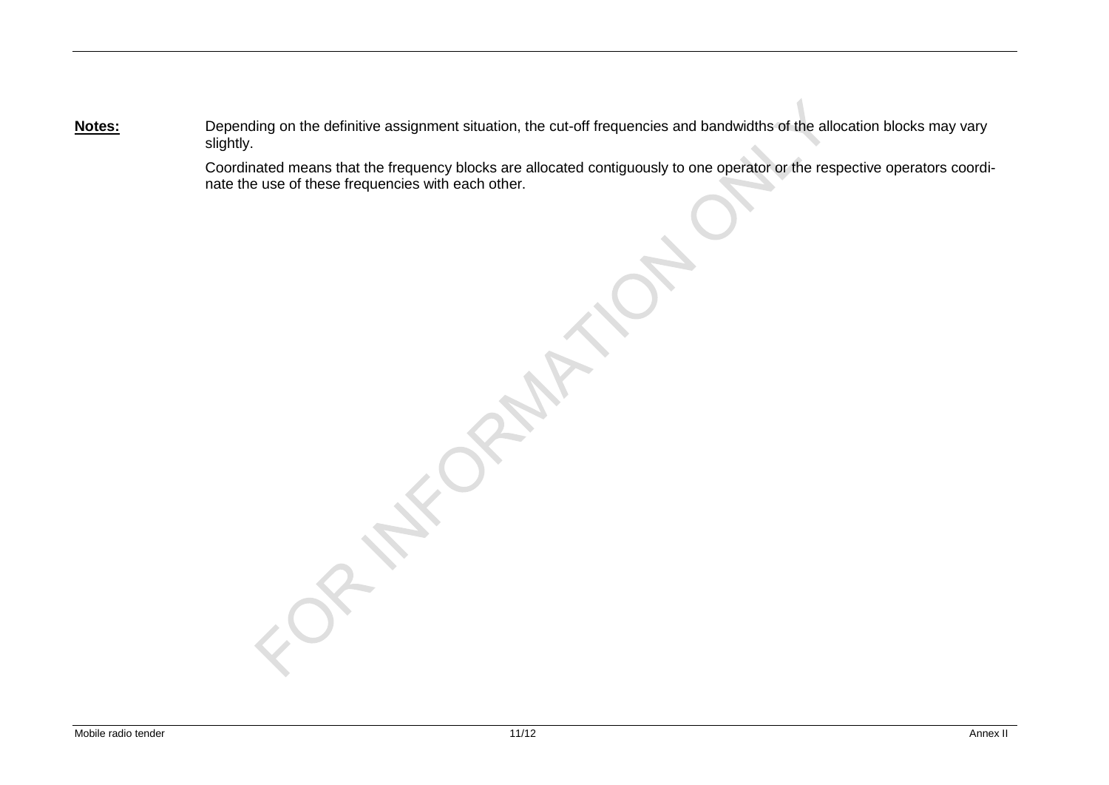**Notes:** Depending on the definitive assignment situation, the cut-off frequencies and bandwidths of the allocation blocks may vary slightly.

> Coordinated means that the frequency blocks are allocated contiguously to one operator or the respective operators coordinate the use of these frequencies with each other.